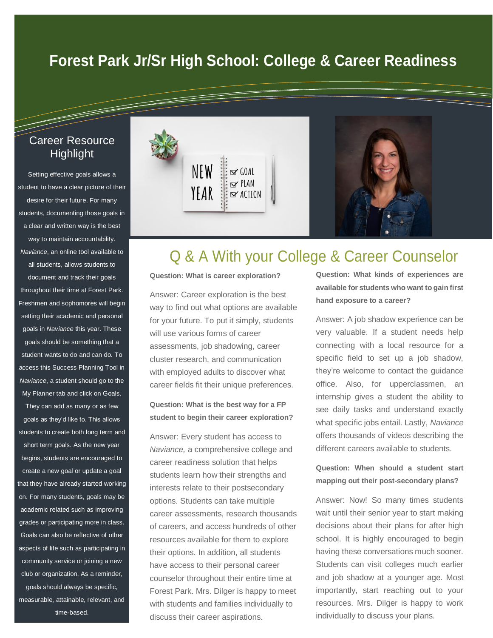## **Forest Park Jr/Sr High School: College & Career Readiness**

## Career Resource Highlight

Setting effective goals allows a student to have a clear picture of their desire for their future. For many students, documenting those goals in a clear and written way is the best way to maintain accountability. *Naviance*, an online tool available to all students, allows students to document and track their goals throughout their time at Forest Park. Freshmen and sophomores will begin setting their academic and personal goals in *Naviance* this year. These goals should be something that a student wants to do and can do. To access this Success Planning Tool in *Naviance*, a student should go to the My Planner tab and click on Goals.

They can add as many or as few goals as they'd like to. This allows students to create both long term and short term goals. As the new year begins, students are encouraged to create a new goal or update a goal that they have already started working on. For many students, goals may be academic related such as improving grades or participating more in class. Goals can also be reflective of other aspects of life such as participating in community service or joining a new club or organization. As a reminder, goals should always be specific, measurable, attainable, relevant, and time-based.



# Q & A With your College & Career Counselor

#### **Question: What is career exploration?**

Answer: Career exploration is the best way to find out what options are available for your future. To put it simply, students will use various forms of career assessments, job shadowing, career cluster research, and communication with employed adults to discover what career fields fit their unique preferences.

#### **Question: What is the best way for a FP student to begin their career exploration?**

Answer: Every student has access to *Naviance,* a comprehensive college and career readiness solution that helps students learn how their strengths and interests relate to their postsecondary options. Students can take multiple career assessments, research thousands of careers, and access hundreds of other resources available for them to explore their options. In addition, all students have access to their personal career counselor throughout their entire time at Forest Park. Mrs. Dilger is happy to meet with students and families individually to discuss their career aspirations.

**Question: What kinds of experiences are available for students who want to gain first hand exposure to a career?**

Answer: A job shadow experience can be very valuable. If a student needs help connecting with a local resource for a specific field to set up a job shadow, they're welcome to contact the guidance office. Also, for upperclassmen, an internship gives a student the ability to see daily tasks and understand exactly what specific jobs entail. Lastly, *Naviance*  offers thousands of videos describing the different careers available to students.

**Question: When should a student start mapping out their post-secondary plans?**

Answer: Now! So many times students wait until their senior year to start making decisions about their plans for after high school. It is highly encouraged to begin having these conversations much sooner. Students can visit colleges much earlier and job shadow at a younger age. Most importantly, start reaching out to your resources. Mrs. Dilger is happy to work individually to discuss your plans.